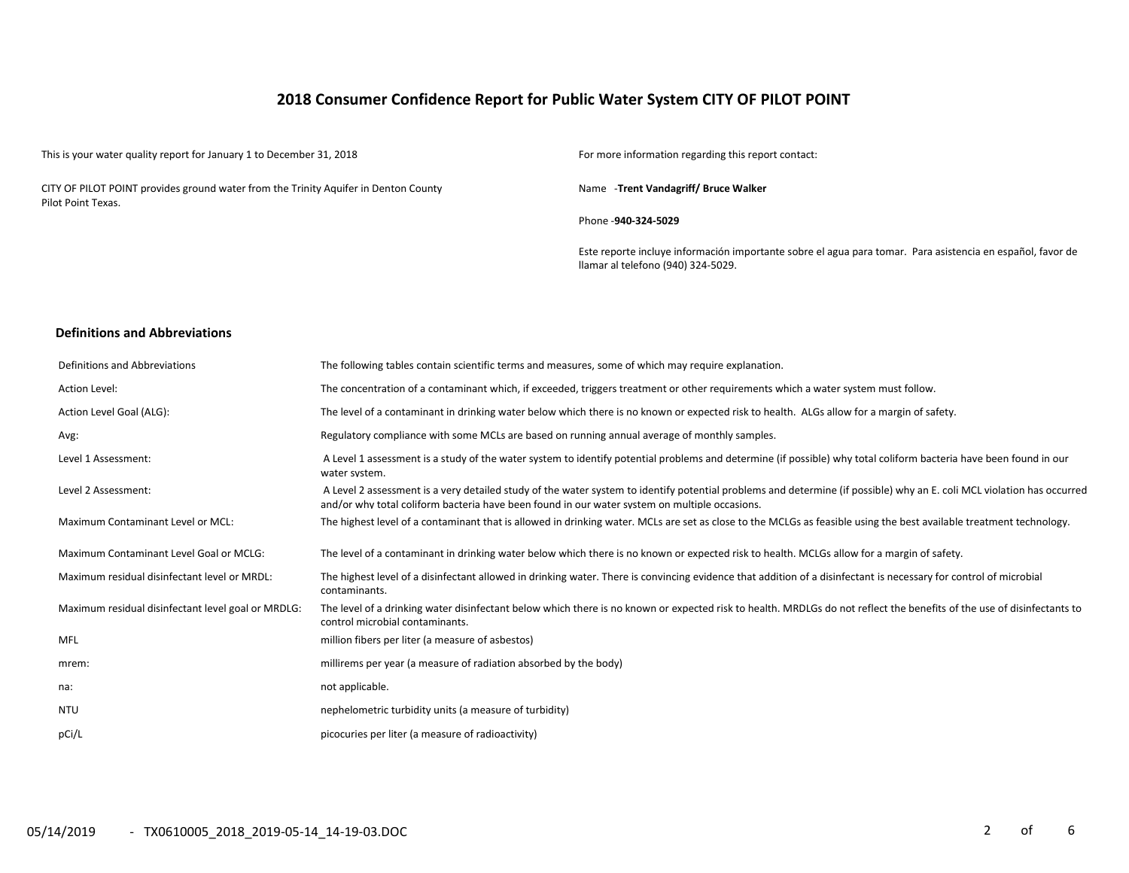# **2018 Consumer Confidence Report for Public Water System CITY OF PILOT POINT**

This is your water quality report for January 1 to December 31, 2018 For more information regarding this report contact:

CITY OF PILOT POINT provides ground water from the Trinity Aquifer in Denton County Pilot Point Texas.

Name -**Trent Vandagriff/ Bruce Walker**

Phone -**940-324-5029**

Este reporte incluye información importante sobre el agua para tomar. Para asistencia en español, favor de llamar al telefono (940) 324-5029.

#### **Definitions and Abbreviations**

| Definitions and Abbreviations                      | The following tables contain scientific terms and measures, some of which may require explanation.                                                                                                                                                                      |
|----------------------------------------------------|-------------------------------------------------------------------------------------------------------------------------------------------------------------------------------------------------------------------------------------------------------------------------|
| Action Level:                                      | The concentration of a contaminant which, if exceeded, triggers treatment or other requirements which a water system must follow.                                                                                                                                       |
| Action Level Goal (ALG):                           | The level of a contaminant in drinking water below which there is no known or expected risk to health. ALGs allow for a margin of safety.                                                                                                                               |
| Avg:                                               | Regulatory compliance with some MCLs are based on running annual average of monthly samples.                                                                                                                                                                            |
| Level 1 Assessment:                                | A Level 1 assessment is a study of the water system to identify potential problems and determine (if possible) why total coliform bacteria have been found in our<br>water system.                                                                                      |
| Level 2 Assessment:                                | A Level 2 assessment is a very detailed study of the water system to identify potential problems and determine (if possible) why an E. coli MCL violation has occurred<br>and/or why total coliform bacteria have been found in our water system on multiple occasions. |
| Maximum Contaminant Level or MCL:                  | The highest level of a contaminant that is allowed in drinking water. MCLs are set as close to the MCLGs as feasible using the best available treatment technology.                                                                                                     |
| Maximum Contaminant Level Goal or MCLG:            | The level of a contaminant in drinking water below which there is no known or expected risk to health. MCLGs allow for a margin of safety.                                                                                                                              |
| Maximum residual disinfectant level or MRDL:       | The highest level of a disinfectant allowed in drinking water. There is convincing evidence that addition of a disinfectant is necessary for control of microbial<br>contaminants.                                                                                      |
| Maximum residual disinfectant level goal or MRDLG: | The level of a drinking water disinfectant below which there is no known or expected risk to health. MRDLGs do not reflect the benefits of the use of disinfectants to<br>control microbial contaminants.                                                               |
| <b>MFL</b>                                         | million fibers per liter (a measure of asbestos)                                                                                                                                                                                                                        |
| mrem:                                              | millirems per year (a measure of radiation absorbed by the body)                                                                                                                                                                                                        |
| na:                                                | not applicable.                                                                                                                                                                                                                                                         |
| <b>NTU</b>                                         | nephelometric turbidity units (a measure of turbidity)                                                                                                                                                                                                                  |
| pCi/L                                              | picocuries per liter (a measure of radioactivity)                                                                                                                                                                                                                       |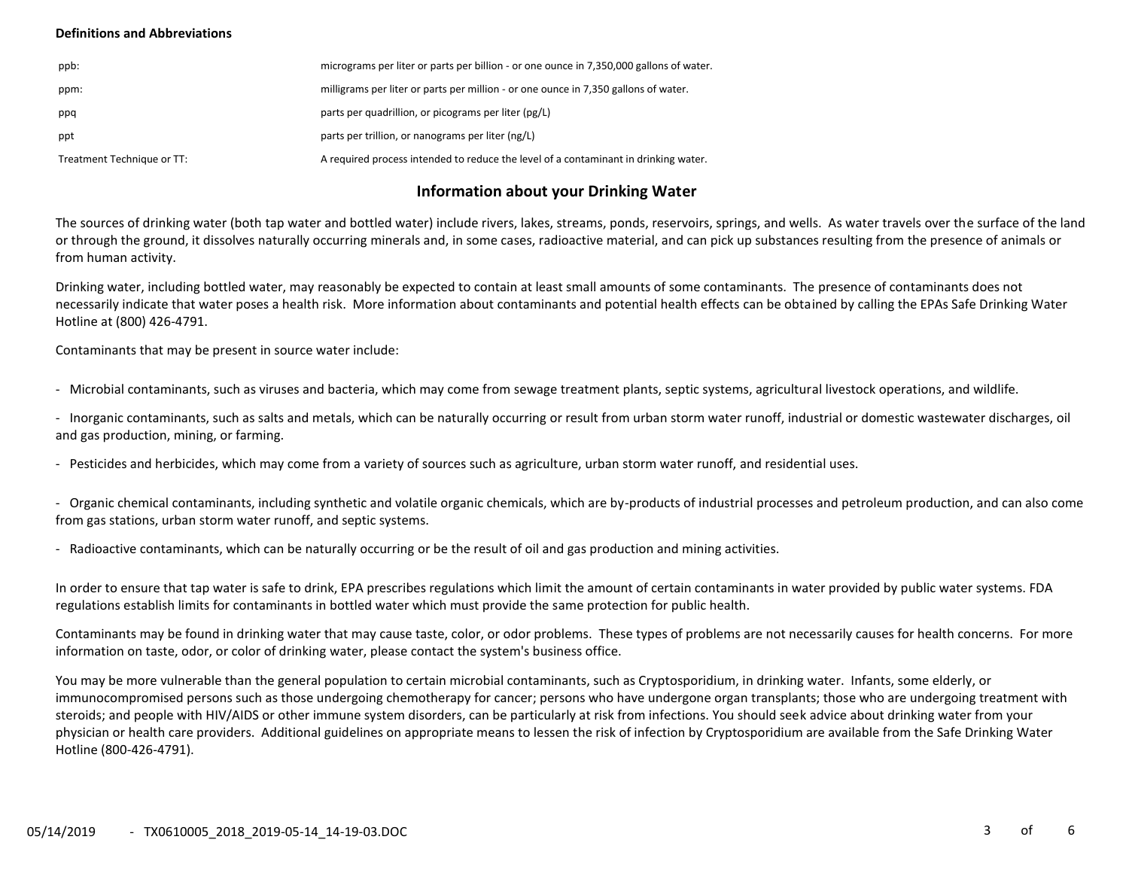## **Definitions and Abbreviations**

| ppb:                       | micrograms per liter or parts per billion - or one ounce in 7,350,000 gallons of water. |
|----------------------------|-----------------------------------------------------------------------------------------|
| ppm:                       | milligrams per liter or parts per million - or one ounce in 7,350 gallons of water.     |
| ppq                        | parts per quadrillion, or picograms per liter (pg/L)                                    |
| ppt                        | parts per trillion, or nanograms per liter (ng/L)                                       |
| Treatment Technique or TT: | A required process intended to reduce the level of a contaminant in drinking water.     |

# **Information about your Drinking Water**

The sources of drinking water (both tap water and bottled water) include rivers, lakes, streams, ponds, reservoirs, springs, and wells. As water travels over the surface of the land or through the ground, it dissolves naturally occurring minerals and, in some cases, radioactive material, and can pick up substances resulting from the presence of animals or from human activity.

Drinking water, including bottled water, may reasonably be expected to contain at least small amounts of some contaminants. The presence of contaminants does not necessarily indicate that water poses a health risk. More information about contaminants and potential health effects can be obtained by calling the EPAs Safe Drinking Water Hotline at (800) 426-4791.

Contaminants that may be present in source water include:

- Microbial contaminants, such as viruses and bacteria, which may come from sewage treatment plants, septic systems, agricultural livestock operations, and wildlife.

- Inorganic contaminants, such as salts and metals, which can be naturally occurring or result from urban storm water runoff, industrial or domestic wastewater discharges, oil and gas production, mining, or farming.

- Pesticides and herbicides, which may come from a variety of sources such as agriculture, urban storm water runoff, and residential uses.

- Organic chemical contaminants, including synthetic and volatile organic chemicals, which are by-products of industrial processes and petroleum production, and can also come from gas stations, urban storm water runoff, and septic systems.

- Radioactive contaminants, which can be naturally occurring or be the result of oil and gas production and mining activities.

In order to ensure that tap water is safe to drink, EPA prescribes regulations which limit the amount of certain contaminants in water provided by public water systems. FDA regulations establish limits for contaminants in bottled water which must provide the same protection for public health.

Contaminants may be found in drinking water that may cause taste, color, or odor problems. These types of problems are not necessarily causes for health concerns. For more information on taste, odor, or color of drinking water, please contact the system's business office.

You may be more vulnerable than the general population to certain microbial contaminants, such as Cryptosporidium, in drinking water. Infants, some elderly, or immunocompromised persons such as those undergoing chemotherapy for cancer; persons who have undergone organ transplants; those who are undergoing treatment with steroids; and people with HIV/AIDS or other immune system disorders, can be particularly at risk from infections. You should seek advice about drinking water from your physician or health care providers. Additional guidelines on appropriate means to lessen the risk of infection by Cryptosporidium are available from the Safe Drinking Water Hotline (800-426-4791).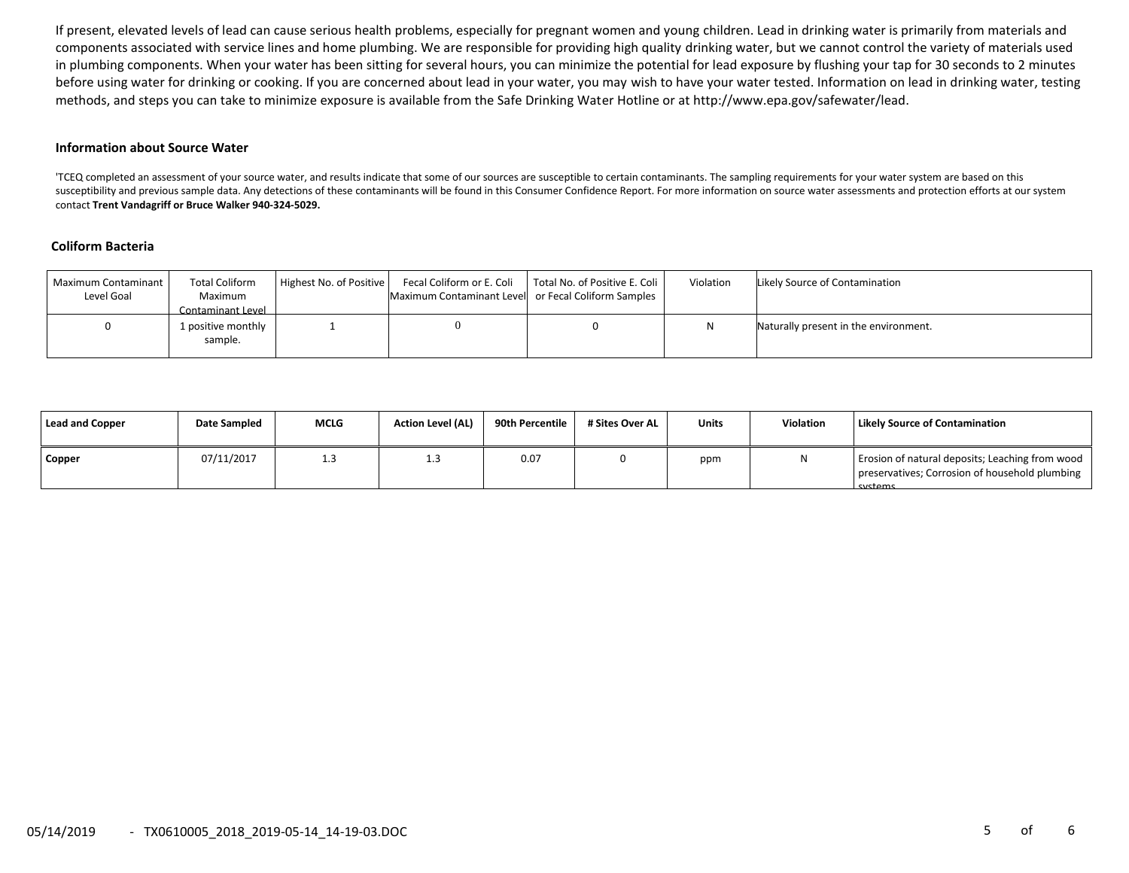If present, elevated levels of lead can cause serious health problems, especially for pregnant women and young children. Lead in drinking water is primarily from materials and components associated with service lines and home plumbing. We are responsible for providing high quality drinking water, but we cannot control the variety of materials used in plumbing components. When your water has been sitting for several hours, you can minimize the potential for lead exposure by flushing your tap for 30 seconds to 2 minutes before using water for drinking or cooking. If you are concerned about lead in your water, you may wish to have your water tested. Information on lead in drinking water, testing methods, and steps you can take to minimize exposure is available from the Safe Drinking Water Hotline or at http://www.epa.gov/safewater/lead.

#### **Information about Source Water**

'TCEQ completed an assessment of your source water, and results indicate that some of our sources are susceptible to certain contaminants. The sampling requirements for your water system are based on this susceptibility and previous sample data. Any detections of these contaminants will be found in this Consumer Confidence Report. For more information on source water assessments and protection efforts at our system contact **Trent Vandagriff or Bruce Walker 940-324-5029.**

## **Coliform Bacteria**

| Maximum Contaminant<br>Level Goal | <b>Total Coliform</b><br>Maximum<br>Contaminant Level | Highest No. of Positive | Maximum Contaminant Level or Fecal Coliform Samples | Fecal Coliform or E. Coli   Total No. of Positive E. Coli | Violation | Likely Source of Contamination        |
|-----------------------------------|-------------------------------------------------------|-------------------------|-----------------------------------------------------|-----------------------------------------------------------|-----------|---------------------------------------|
|                                   | 1 positive monthly<br>sample.                         |                         |                                                     |                                                           |           | Naturally present in the environment. |

| Lead and Copper | Date Sampled | <b>MCLG</b> | <b>Action Level (AL)</b> | 90th Percentile 1 | # Sites Over AL | <b>Units</b> | Violation | Likely Source of Contamination                                                                               |
|-----------------|--------------|-------------|--------------------------|-------------------|-----------------|--------------|-----------|--------------------------------------------------------------------------------------------------------------|
| <b>Copper</b>   | 07/11/2017   | 1.3         | ر. 1                     | 0.07              |                 | ppm          |           | Erosion of natural deposits; Leaching from wood<br>preservatives; Corrosion of household plumbing<br>cyctome |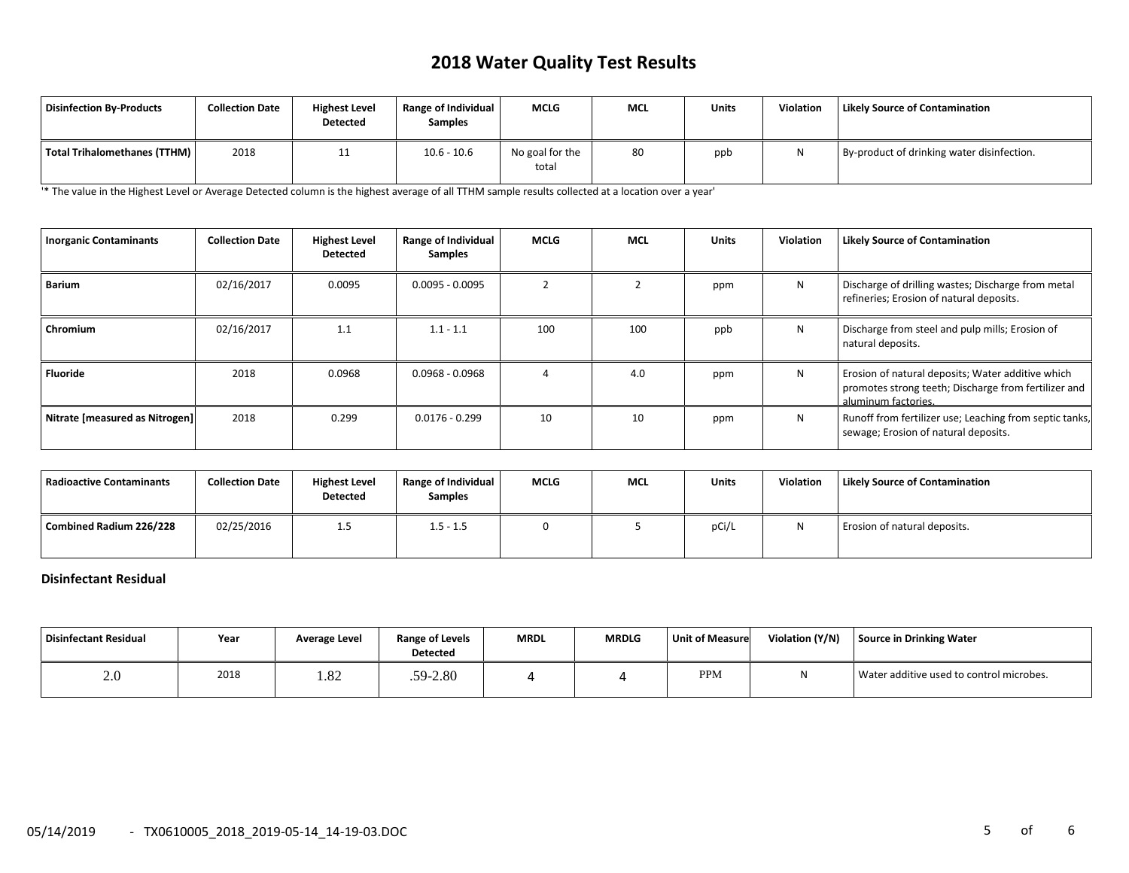# **2018 Water Quality Test Results**

| Disinfection By-Products     | <b>Collection Date</b> | <b>Highest Level</b><br>Detected | Range of Individual<br><b>Samples</b> | <b>MCLG</b>              | <b>MCL</b> | <b>Units</b> | <b>Violation</b> | <b>Likely Source of Contamination</b>      |
|------------------------------|------------------------|----------------------------------|---------------------------------------|--------------------------|------------|--------------|------------------|--------------------------------------------|
| Total Trihalomethanes (TTHM) | 2018                   | <b>. .</b>                       | $10.6 - 10.6$                         | No goal for the<br>total | 80         | ppb          | N                | By-product of drinking water disinfection. |

'\* The value in the Highest Level or Average Detected column is the highest average of all TTHM sample results collected at a location over a year'

| <b>Inorganic Contaminants</b>  | <b>Collection Date</b> | <b>Highest Level</b><br><b>Detected</b> | Range of Individual<br><b>Samples</b> | <b>MCLG</b> | <b>MCL</b> | <b>Units</b> | <b>Violation</b> | <b>Likely Source of Contamination</b>                                                                                            |
|--------------------------------|------------------------|-----------------------------------------|---------------------------------------|-------------|------------|--------------|------------------|----------------------------------------------------------------------------------------------------------------------------------|
| <b>Barium</b>                  | 02/16/2017             | 0.0095                                  | $0.0095 - 0.0095$                     |             |            | ppm          | N                | Discharge of drilling wastes; Discharge from metal<br>refineries; Erosion of natural deposits.                                   |
| <b>Chromium</b>                | 02/16/2017             | 1.1                                     | $1.1 - 1.1$                           | 100         | 100        | ppb          | N                | Discharge from steel and pulp mills; Erosion of<br>natural deposits.                                                             |
| Fluoride                       | 2018                   | 0.0968                                  | $0.0968 - 0.0968$                     |             | 4.0        | ppm          | N                | Erosion of natural deposits; Water additive which<br>promotes strong teeth; Discharge from fertilizer and<br>aluminum factories. |
| Nitrate [measured as Nitrogen] | 2018                   | 0.299                                   | $0.0176 - 0.299$                      | 10          | 10         | ppm          | N                | Runoff from fertilizer use; Leaching from septic tanks,<br>sewage; Erosion of natural deposits.                                  |

| <b>Radioactive Contaminants</b> | <b>Collection Date</b> | <b>Highest Level</b><br><b>Detected</b> | Range of Individual<br><b>Samples</b> | <b>MCLG</b> | <b>MCL</b> | Units | <b>Violation</b> | <b>Likely Source of Contamination</b> |
|---------------------------------|------------------------|-----------------------------------------|---------------------------------------|-------------|------------|-------|------------------|---------------------------------------|
| Combined Radium 226/228         | 02/25/2016             | 1.5                                     | $1.5 - 1.5$                           |             |            | pCi/l | N                | Erosion of natural deposits.          |

## **Disinfectant Residual**

| Disinfectant Residual | Year | Average Level | <b>Range of Levels</b><br><b>Detected</b> | <b>MRDL</b> | <b>MRDLG</b> | <b>Unit of Measure</b> | Violation (Y/N) | Source in Drinking Water                 |
|-----------------------|------|---------------|-------------------------------------------|-------------|--------------|------------------------|-----------------|------------------------------------------|
| 2.0                   | 2018 | 1.82          | .59-2.80                                  |             |              | <b>PPM</b>             | 1 V             | Water additive used to control microbes. |